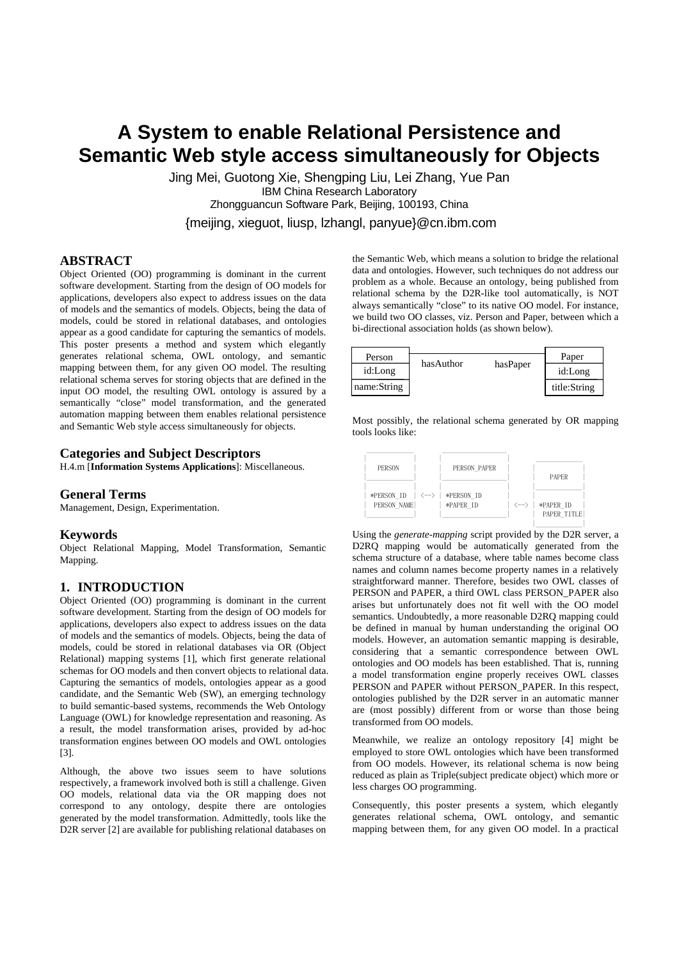# **A System to enable Relational Persistence and Semantic Web style access simultaneously for Objects**

Jing Mei, Guotong Xie, Shengping Liu, Lei Zhang, Yue Pan IBM China Research Laboratory Zhongguancun Software Park, Beijing, 100193, China {meijing, xieguot, liusp, lzhangl, panyue}@cn.ibm.com

## **ABSTRACT**

Object Oriented (OO) programming is dominant in the current software development. Starting from the design of OO models for applications, developers also expect to address issues on the data of models and the semantics of models. Objects, being the data of models, could be stored in relational databases, and ontologies appear as a good candidate for capturing the semantics of models. This poster presents a method and system which elegantly generates relational schema, OWL ontology, and semantic mapping between them, for any given OO model. The resulting relational schema serves for storing objects that are defined in the input OO model, the resulting OWL ontology is assured by a semantically "close" model transformation, and the generated automation mapping between them enables relational persistence and Semantic Web style access simultaneously for objects.

# **Categories and Subject Descriptors**

H.4.m [**Information Systems Applications**]: Miscellaneous.

# **General Terms**

Management, Design, Experimentation.

#### **Keywords**

Object Relational Mapping, Model Transformation, Semantic Mapping.

#### **1. INTRODUCTION**

Object Oriented (OO) programming is dominant in the current software development. Starting from the design of OO models for applications, developers also expect to address issues on the data of models and the semantics of models. Objects, being the data of models, could be stored in relational databases via OR (Object Relational) mapping systems [1], which first generate relational schemas for OO models and then convert objects to relational data. Capturing the semantics of models, ontologies appear as a good candidate, and the Semantic Web (SW), an emerging technology to build semantic-based systems, recommends the Web Ontology Language (OWL) for knowledge representation and reasoning. As a result, the model transformation arises, provided by ad-hoc transformation engines between OO models and OWL ontologies [3].

Although, the above two issues seem to have solutions respectively, a framework involved both is still a challenge. Given OO models, relational data via the OR mapping does not correspond to any ontology, despite there are ontologies generated by the model transformation. Admittedly, tools like the D2R server [2] are available for publishing relational databases on

the Semantic Web, which means a solution to bridge the relational data and ontologies. However, such techniques do not address our problem as a whole. Because an ontology, being published from relational schema by the D2R-like tool automatically, is NOT always semantically "close" to its native OO model. For instance, we build two OO classes, viz. Person and Paper, between which a bi-directional association holds (as shown below).

| Person      | hasAuthor |          | Paper        |
|-------------|-----------|----------|--------------|
| id:Long     |           | hasPaper | id:Long      |
| name:String |           |          | title:String |

Most possibly, the relational schema generated by OR mapping tools looks like:



Using the *generate-mapping* script provided by the D2R server, a D2RQ mapping would be automatically generated from the schema structure of a database, where table names become class names and column names become property names in a relatively straightforward manner. Therefore, besides two OWL classes of PERSON and PAPER, a third OWL class PERSON\_PAPER also arises but unfortunately does not fit well with the OO model semantics. Undoubtedly, a more reasonable D2RQ mapping could be defined in manual by human understanding the original OO models. However, an automation semantic mapping is desirable, considering that a semantic correspondence between OWL ontologies and OO models has been established. That is, running a model transformation engine properly receives OWL classes PERSON and PAPER without PERSON\_PAPER. In this respect, ontologies published by the D2R server in an automatic manner are (most possibly) different from or worse than those being transformed from OO models.

Meanwhile, we realize an ontology repository [4] might be employed to store OWL ontologies which have been transformed from OO models. However, its relational schema is now being reduced as plain as Triple(subject predicate object) which more or less charges OO programming.

Consequently, this poster presents a system, which elegantly generates relational schema, OWL ontology, and semantic mapping between them, for any given OO model. In a practical